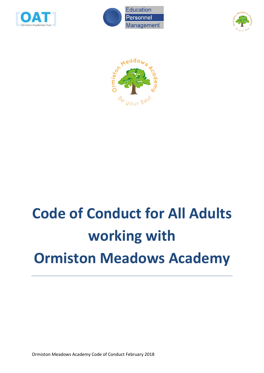







# **Code of Conduct for All Adults working with Ormiston Meadows Academy**

Ormiston Meadows Academy Code of Conduct February 2018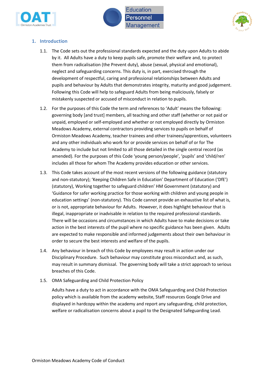





## **1. Introduction**

- 1.1. The Code sets out the professional standards expected and the duty upon Adults to abide by it. All Adults have a duty to keep pupils safe, promote their welfare and, to protect them from radicalisation (the Prevent duty), abuse (sexual, physical and emotional), neglect and safeguarding concerns. This duty is, in part, exercised through the development of respectful, caring and professional relationships between Adults and pupils and behaviour by Adults that demonstrates integrity, maturity and good judgement. Following this Code will help to safeguard Adults from being maliciously, falsely or mistakenly suspected or accused of misconduct in relation to pupils.
- 1.2. For the purposes of this Code the term and references to 'Adult' means the following: governing body [and trust] members, all teaching and other staff (whether or not paid or unpaid, employed or self-employed and whether or not employed directly by Ormiston Meadows Academy, external contractors providing services to pupils on behalf of Ormiston Meadows Academy, teacher trainees and other trainees/apprentices, volunteers and any other individuals who work for or provide services on behalf of or for The Academy to include but not limited to all those detailed in the single central record (as amended). For the purposes of this Code 'young person/people', 'pupils' and 'child/ren' includes all those for whom The Academy provides education or other services.
- 1.3. This Code takes account of the most recent versions of the following guidance (statutory and non-statutory); 'Keeping Children Safe in Education' Department of Education ('DfE') (statutory), Working together to safeguard children' HM Government (statutory) and 'Guidance for safer working practice for those working with children and young people in education settings' (non-statutory). This Code cannot provide an exhaustive list of what is, or is not, appropriate behaviour for Adults. However, it does highlight behaviour that is illegal, inappropriate or inadvisable in relation to the required professional standards. There will be occasions and circumstances in which Adults have to make decisions or take action in the best interests of the pupil where no specific guidance has been given. Adults are expected to make responsible and informed judgements about their own behaviour in order to secure the best interests and welfare of the pupils.
- 1.4. Any behaviour in breach of this Code by employees may result in action under our Disciplinary Procedure. Such behaviour may constitute gross misconduct and, as such, may result in summary dismissal. The governing body will take a strict approach to serious breaches of this Code.
- 1.5. OMA Safeguarding and Child Protection Policy

Adults have a duty to act in accordance with the OMA Safeguarding and Child Protection policy which is available from the academy website, Staff resources Google Drive and displayed in hardcopy within the academy and report any safeguarding, child protection, welfare or radicalisation concerns about a pupil to the Designated Safeguarding Lead.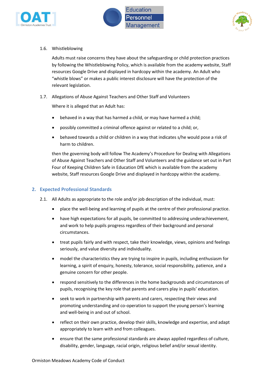



1.6. Whistleblowing

Adults must raise concerns they have about the safeguarding or child protection practices by following the Whistleblowing Policy, which is available from the academy website, Staff resources Google Drive and displayed in hardcopy within the academy*.* An Adult who "whistle blows" or makes a public interest disclosure will have the protection of the relevant legislation.

1.7. Allegations of Abuse Against Teachers and Other Staff and Volunteers

Where it is alleged that an Adult has:

- behaved in a way that has harmed a child, or may have harmed a child;
- possibly committed a criminal offence against or related to a child; or,
- behaved towards a child or children in a way that indicates s/he would pose a risk of harm to children.

then the governing body will follow The Academy's Procedure for Dealing with Allegations of Abuse Against Teachers and Other Staff and Volunteers and the guidance set out in Part Four of Keeping Children Safe in Education DfE which is available from the academy website, Staff resources Google Drive and displayed in hardcopy within the academy.

## **2. Expected Professional Standards**

- 2.1. All Adults as appropriate to the role and/or job description of the individual, must:
	- place the well-being and learning of pupils at the centre of their professional practice.
	- have high expectations for all pupils, be committed to addressing underachievement, and work to help pupils progress regardless of their background and personal circumstances.
	- treat pupils fairly and with respect, take their knowledge, views, opinions and feelings seriously, and value diversity and individuality.
	- model the characteristics they are trying to inspire in pupils, including enthusiasm for learning, a spirit of enquiry, honesty, tolerance, social responsibility, patience, and a genuine concern for other people.
	- respond sensitively to the differences in the home backgrounds and circumstances of pupils, recognising the key role that parents and carers play in pupils' education.
	- seek to work in partnership with parents and carers, respecting their views and promoting understanding and co-operation to support the young person's learning and well-being in and out of school.
	- reflect on their own practice, develop their skills, knowledge and expertise, and adapt appropriately to learn with and from colleagues.
	- ensure that the same professional standards are always applied regardless of culture, disability, gender, language, racial origin, religious belief and/or sexual identity.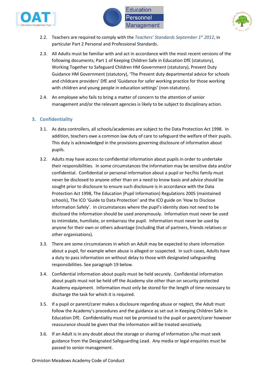





- 2.2. Teachers are required to comply with the *[Teachers' Standards September 1](https://www.gov.uk/government/uploads/system/uploads/attachment_data/file/301107/Teachers__Standards.pdf)st 2012*, in particular Part 2 Personal and Professional Standards.
- 2.3. All Adults must be familiar with and act in accordance with the most recent versions of the following documents; Part 1 of Keeping Children Safe in Education DfE (statutory), Working Together to Safeguard Children HM Government (statutory), Prevent Duty Guidance HM Government (statutory), 'The Prevent duty departmental advice for schools and childcare providers' DfE and 'Guidance for safer working practice for those working with children and young people in education settings' (non-statutory).
- 2.4. An employee who fails to bring a matter of concern to the attention of senior management and/or the relevant agencies is likely to be subject to disciplinary action.

# **3. Confidentiality**

- 3.1. As data controllers, all schools/academies are subject to the Data Protection Act 1998. In addition, teachers owe a common law duty of care to safeguard the welfare of their pupils. This duty is acknowledged in the provisions governing disclosure of information about pupils.
- 3.2. Adults may have access to confidential information about pupils in order to undertake their responsibilities. In some circumstances the information may be sensitive data and/or confidential. Confidential or personal information about a pupil or her/his family must never be disclosed to anyone other than on a need to know basis and advice should be sought prior to disclosure to ensure such disclosure is in accordance with the Data Protection Act 1998, The Education (Pupil Information) Regulations 2005 (maintained schools), The ICO 'Guide to Data Protection' and the ICO guide on 'How to Disclose Information Safely'. In circumstances where the pupil's identity does not need to be disclosed the information should be used anonymously. Information must never be used to intimidate, humiliate, or embarrass the pupil. Information must never be used by anyone for their own or others advantage (including that of partners, friends relatives or other organisations).
- 3.3. There are some circumstances in which an Adult may be expected to share information about a pupil, for example when abuse is alleged or suspected. In such cases, Adults have a duty to pass information on without delay to those with designated safeguarding responsibilities. See paragraph 19 below.
- 3.4. Confidential information about pupils must be held securely. Confidential information about pupils must not be held off the Academy site other than on security protected Academy equipment. Information must only be stored for the length of time necessary to discharge the task for which it is required.
- 3.5. If a pupil or parent/carer makes a disclosure regarding abuse or neglect, the Adult must follow the Academy's procedures and the guidance as set out in Keeping Children Safe in Education DfE. Confidentiality must not be promised to the pupil or parent/carer however reassurance should be given that the information will be treated sensitively.
- 3.6. If an Adult is in any doubt about the storage or sharing of information s/he must seek guidance from the Designated Safeguarding Lead. Any media or legal enquiries must be passed to senior management.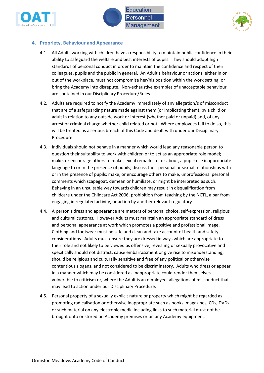





## **4. Propriety, Behaviour and Appearance**

- 4.1. All Adults working with children have a responsibility to maintain public confidence in their ability to safeguard the welfare and best interests of pupils. They should adopt high standards of personal conduct in order to maintain the confidence and respect of their colleagues, pupils and the public in general. An Adult's behaviour or actions, either in or out of the workplace, must not compromise her/his position within the work setting, or bring the Academy into disrepute. Non-exhaustive examples of unacceptable behaviour are contained in our Disciplinary Procedure/Rules.
- 4.2. Adults are required to notify the Academy immediately of any allegation/s of misconduct that are of a safeguarding nature made against them (or implicating them), by a child or adult in relation to any outside work or interest (whether paid or unpaid) and, of any arrest or criminal charge whether child related or not. Where employees fail to do so, this will be treated as a serious breach of this Code and dealt with under our Disciplinary Procedure.
- 4.3. Individuals should not behave in a manner which would lead any reasonable person to question their suitability to work with children or to act as an appropriate role model; make, or encourage others to make sexual remarks to, or about, a pupil; use inappropriate language to or in the presence of pupils; discuss their personal or sexual relationships with or in the presence of pupils; make, or encourage others to make, unprofessional personal comments which scapegoat, demean or humiliate, or might be interpreted as such. Behaving in an unsuitable way towards children may result in disqualification from childcare under the Childcare Act 2006, prohibition from teaching by the NCTL, a bar from engaging in regulated activity, or action by another relevant regulatory
- 4.4. A person's dress and appearance are matters of personal choice, self-expression, religious and cultural customs. However Adults must maintain an appropriate standard of dress and personal appearance at work which promotes a positive and professional image. Clothing and footwear must be safe and clean and take account of health and safety considerations. Adults must ensure they are dressed in ways which are appropriate to their role and not likely to be viewed as offensive, revealing or sexually provocative and specifically should not distract, cause embarrassment or give rise to misunderstanding, should be religious and culturally sensitive and free of any political or otherwise contentious slogans, and not considered to be discriminatory. Adults who dress or appear in a manner which may be considered as inappropriate could render themselves vulnerable to criticism or, where the Adult is an employee, allegations of misconduct that may lead to action under our Disciplinary Procedure.
- 4.5. Personal property of a sexually explicit nature or property which might be regarded as promoting radicalisation or otherwise inappropriate such as books, magazines, CDs, DVDs or such material on any electronic media including links to such material must not be brought onto or stored on Academy premises or on any Academy equipment.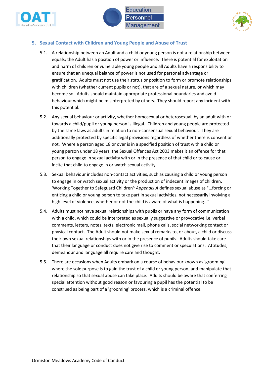





## **5. Sexual Contact with Children and Young People and Abuse of Trust**

- 5.1. A relationship between an Adult and a child or young person is not a relationship between equals; the Adult has a position of power or influence. There is potential for exploitation and harm of children or vulnerable young people and all Adults have a responsibility to ensure that an unequal balance of power is not used for personal advantage or gratification. Adults must not use their status or position to form or promote relationships with children (whether current pupils or not), that are of a sexual nature, or which may become so. Adults should maintain appropriate professional boundaries and avoid behaviour which might be misinterpreted by others. They should report any incident with this potential.
- 5.2. Any sexual behaviour or activity, whether homosexual or heterosexual, by an adult with or towards a child/pupil or young person is illegal. Children and young people are protected by the same laws as adults in relation to non-consensual sexual behaviour. They are additionally protected by specific legal provisions regardless of whether there is consent or not. Where a person aged 18 or over is in a specified position of trust with a child or young person under 18 years, the Sexual Offences Act 2003 makes it an offence for that person to engage in sexual activity with or in the presence of that child or to cause or incite that child to engage in or watch sexual activity.
- 5.3. Sexual behaviour includes non-contact activities, such as causing a child or young person to engage in or watch sexual activity or the production of indecent images of children. 'Working Together to Safeguard Children', *Appendix A* defines sexual abuse as "…forcing or enticing a child or young person to take part in sexual activities, not necessarily involving a high level of violence, whether or not the child is aware of what is happening…"
- 5.4. Adults must not have sexual relationships with pupils or have any form of communication with a child, which could be interpreted as sexually suggestive or provocative i.e. verbal comments, letters, notes, texts, electronic mail, phone calls, social networking contact or physical contact. The Adult should not make sexual remarks to, or about, a child or discuss their own sexual relationships with or in the presence of pupils. Adults should take care that their language or conduct does not give rise to comment or speculations. Attitudes, demeanour and language all require care and thought.
- 5.5. There are occasions when Adults embark on a course of behaviour known as 'grooming' where the sole purpose is to gain the trust of a child or young person, and manipulate that relationship so that sexual abuse can take place. Adults should be aware that conferring special attention without good reason or favouring a pupil has the potential to be construed as being part of a 'grooming' process, which is a criminal offence.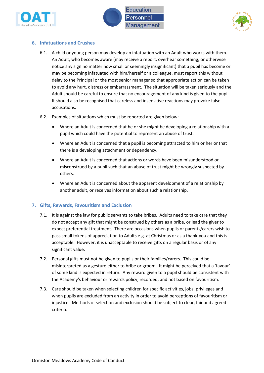



# **6. Infatuations and Crushes**

- 6.1. A child or young person may develop an infatuation with an Adult who works with them. An Adult, who becomes aware (may receive a report, overhear something, or otherwise notice any sign no matter how small or seemingly insignificant) that a pupil has become or may be becoming infatuated with him/herself or a colleague, must report this without delay to the Principal or the most senior manager so that appropriate action can be taken to avoid any hurt, distress or embarrassment. The situation will be taken seriously and the Adult should be careful to ensure that no encouragement of any kind is given to the pupil. It should also be recognised that careless and insensitive reactions may provoke false accusations.
- 6.2. Examples of situations which must be reported are given below:
	- Where an Adult is concerned that he or she might be developing a relationship with a pupil which could have the potential to represent an abuse of trust.
	- Where an Adult is concerned that a pupil is becoming attracted to him or her or that there is a developing attachment or dependency.
	- Where an Adult is concerned that actions or words have been misunderstood or misconstrued by a pupil such that an abuse of trust might be wrongly suspected by others.
	- Where an Adult is concerned about the apparent development of a relationship by another adult, or receives information about such a relationship.

# **7. Gifts, Rewards, Favouritism and Exclusion**

- 7.1. It is against the law for public servants to take bribes. Adults need to take care that they do not accept any gift that might be construed by others as a bribe, or lead the giver to expect preferential treatment. There are occasions when pupils or parents/carers wish to pass small tokens of appreciation to Adults e.g. at Christmas or as a thank-you and this is acceptable. However, it is unacceptable to receive gifts on a regular basis or of any significant value.
- 7.2. Personal gifts must not be given to pupils or their families/carers. This could be misinterpreted as a gesture either to bribe or groom. It might be perceived that a 'favour' of some kind is expected in return. Any reward given to a pupil should be consistent with the Academy's behaviour or rewards policy, recorded, and not based on favouritism.
- 7.3. Care should be taken when selecting children for specific activities, jobs, privileges and when pupils are excluded from an activity in order to avoid perceptions of favouritism or injustice. Methods of selection and exclusion should be subject to clear, fair and agreed criteria.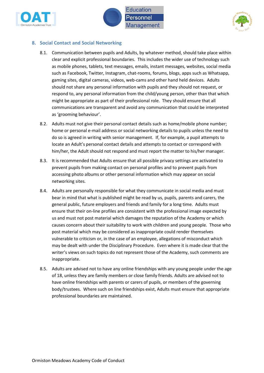





## **8. Social Contact and Social Networking**

- 8.1. Communication between pupils and Adults, by whatever method, should take place within clear and explicit professional boundaries. This includes the wider use of technology such as mobile phones, tablets, text messages, emails, instant messages, websites, social media such as Facebook, Twitter, Instagram, chat-rooms, forums, blogs, apps such as Whatsapp, gaming sites, digital cameras, videos, web-cams and other hand held devices. Adults should not share any personal information with pupils and they should not request, or respond to, any personal information from the child/young person, other than that which might be appropriate as part of their professional role. They should ensure that all communications are transparent and avoid any communication that could be interpreted as 'grooming behaviour'.
- 8.2. Adults must not give their personal contact details such as home/mobile phone number; home or personal e-mail address or social networking details to pupils unless the need to do so is agreed in writing with senior management. If, for example, a pupil attempts to locate an Adult's personal contact details and attempts to contact or correspond with him/her, the Adult should not respond and must report the matter to his/her manager.
- 8.3. It is recommended that Adults ensure that all possible privacy settings are activated to prevent pupils from making contact on personal profiles and to prevent pupils from accessing photo albums or other personal information which may appear on social networking sites.
- 8.4. Adults are personally responsible for what they communicate in social media and must bear in mind that what is published might be read by us, pupils, parents and carers, the general public, future employers and friends and family for a long time. Adults must ensure that their on-line profiles are consistent with the professional image expected by us and must not post material which damages the reputation of the Academy or which causes concern about their suitability to work with children and young people. Those who post material which may be considered as inappropriate could render themselves vulnerable to criticism or, in the case of an employee, allegations of misconduct which may be dealt with under the Disciplinary Procedure. Even where it is made clear that the writer's views on such topics do not represent those of the Academy, such comments are inappropriate.
- 8.5. Adults are advised not to have any online friendships with any young people under the age of 18, unless they are family members or close family friends. Adults are advised not to have online friendships with parents or carers of pupils, or members of the governing body/trustees. Where such on line friendships exist, Adults must ensure that appropriate professional boundaries are maintained.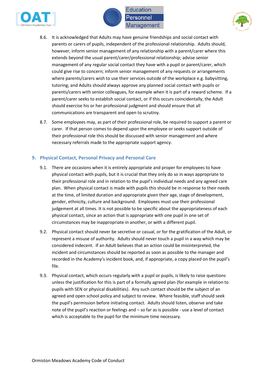





- 8.6. It is acknowledged that Adults may have genuine friendships and social contact with parents or carers of pupils, independent of the professional relationship. Adults should, however, inform senior management of any relationship with a parent/carer where this extends beyond the usual parent/carer/professional relationship; advise senior management of any regular social contact they have with a pupil or parent/carer, which could give rise to concern; inform senior management of any requests or arrangements where parents/carers wish to use their services outside of the workplace e.g. babysitting, tutoring; and Adults should always approve any planned social contact with pupils or parents/carers with senior colleagues, for example when it is part of a reward scheme. If a parent/carer seeks to establish social contact, or if this occurs coincidentally, the Adult should exercise his or her professional judgment and should ensure that all communications are transparent and open to scrutiny.
- 8.7. Some employees may, as part of their professional role, be required to support a parent or carer. If that person comes to depend upon the employee or seeks support outside of their professional role this should be discussed with senior management and where necessary referrals made to the appropriate support agency.

### **9. Physical Contact, Personal Privacy and Personal Care**

- 9.1. There are occasions when it is entirely appropriate and proper for employees to have physical contact with pupils, but it is crucial that they only do so in ways appropriate to their professional role and in relation to the pupil's individual needs and any agreed care plan. When physical contact is made with pupils this should be in response to their needs at the time, of limited duration and appropriate given their age, stage of development, gender, ethnicity, culture and background. Employees must use their professional judgement at all times. It is not possible to be specific about the appropriateness of each physical contact, since an action that is appropriate with one pupil in one set of circumstances may be inappropriate in another, or with a different pupil.
- 9.2. Physical contact should never be secretive or casual, or for the gratification of the Adult, or represent a misuse of authority. Adults should never touch a pupil in a way which may be considered indecent. If an Adult believes that an action could be misinterpreted, the incident and circumstances should be reported as soon as possible to the manager and recorded in the Academy's incident book, and, if appropriate, a copy placed on the pupil's file.
- 9.3. Physical contact, which occurs regularly with a pupil or pupils, is likely to raise questions unless the justification for this is part of a formally agreed plan (for example in relation to pupils with SEN or physical disabilities). Any such contact should be the subject of an agreed and open school policy and subject to review. Where feasible, staff should seek the pupil's permission before initiating contact. Adults should listen, observe and take note of the pupil's reaction or feelings and – so far as is possible - use a level of contact which is acceptable to the pupil for the minimum time necessary.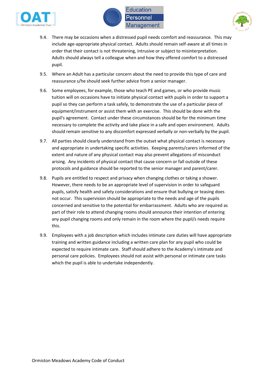





- 9.4. There may be occasions when a distressed pupil needs comfort and reassurance. This may include age-appropriate physical contact. Adults should remain self-aware at all times in order that their contact is not threatening, intrusive or subject to misinterpretation. Adults should always tell a colleague when and how they offered comfort to a distressed pupil.
- 9.5. Where an Adult has a particular concern about the need to provide this type of care and reassurance s/he should seek further advice from a senior manager.
- 9.6. Some employees, for example, those who teach PE and games, or who provide music tuition will on occasions have to initiate physical contact with pupils in order to support a pupil so they can perform a task safely, to demonstrate the use of a particular piece of equipment/instrument or assist them with an exercise. This should be done with the pupil's agreement. Contact under these circumstances should be for the minimum time necessary to complete the activity and take place in a safe and open environment. Adults should remain sensitive to any discomfort expressed verbally or non-verbally by the pupil.
- 9.7. All parties should clearly understand from the outset what physical contact is necessary and appropriate in undertaking specific activities. Keeping parents/carers informed of the extent and nature of any physical contact may also prevent allegations of misconduct arising. Any incidents of physical contact that cause concern or fall outside of these protocols and guidance should be reported to the senior manager and parent/carer.
- 9.8. Pupils are entitled to respect and privacy when changing clothes or taking a shower. However, there needs to be an appropriate level of supervision in order to safeguard pupils, satisfy health and safety considerations and ensure that bullying or teasing does not occur. This supervision should be appropriate to the needs and age of the pupils concerned and sensitive to the potential for embarrassment. Adults who are required as part of their role to attend changing rooms should announce their intention of entering any pupil changing rooms and only remain in the room where the pupil/s needs require this.
- 9.9. Employees with a job description which includes intimate care duties will have appropriate training and written guidance including a written care plan for any pupil who could be expected to require intimate care. Staff should adhere to the Academy's intimate and personal care policies. Employees should not assist with personal or intimate care tasks which the pupil is able to undertake independently.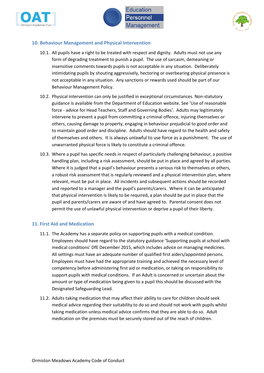





## **10. Behaviour Management and Physical Intervention**

- 10.1. All pupils have a right to be treated with respect and dignity. Adults must not use any form of degrading treatment to punish a pupil. The use of sarcasm, demeaning or insensitive comments towards pupils is not acceptable in any situation. Deliberately intimidating pupils by shouting aggressively, hectoring or overbearing physical presence is not acceptable in any situation. Any sanctions or rewards used should be part of our Behaviour Management Policy.
- 10.2. Physical intervention can only be justified in exceptional circumstances. Non-statutory guidance is available from the Department of Education website. See 'Use of reasonable force - advice for Head Teachers, Staff and Governing Bodies'. Adults may legitimately intervene to prevent a pupil from committing a criminal offence, injuring themselves or others, causing damage to property, engaging in behaviour prejudicial to good order and to maintain good order and discipline. Adults should have regard to the health and safety of themselves and others. It is always unlawful to use force as a punishment. The use of unwarranted physical force is likely to constitute a criminal offence.
- 10.3. Where a pupil has specific needs in respect of particularly challenging behaviour, a positive handling plan, including a risk assessment, should be put in place and agreed by all parties. Where it is judged that a pupil's behaviour presents a serious risk to themselves or others, a robust risk assessment that is regularly reviewed and a physical intervention plan, where relevant, must be put in place. All incidents and subsequent actions should be recorded and reported to a manager and the pupil's parents/carers. Where it can be anticipated that physical intervention is likely to be required, a plan should be put in place that the pupil and parents/carers are aware of and have agreed to. Parental consent does not permit the use of unlawful physical intervention or deprive a pupil of their liberty.

#### **11. First Aid and Medication**

- 11.1. The Academy has a separate policy on supporting pupils with a medical condition. Employees should have regard to the statutory guidance 'Supporting pupils at school with medical conditions' DfE December 2015, which includes advice on managing medicines. All settings must have an adequate number of qualified first aiders/appointed persons. Employees must have had the appropriate training and achieved the necessary level of competency before administering first aid or medication, or taking on responsibility to support pupils with medical conditions. If an Adult is concerned or uncertain about the amount or type of medication being given to a pupil this should be discussed with the Designated Safeguarding Lead.
- 11.2. Adults taking medication that may affect their ability to care for children should seek medical advice regarding their suitability to do so and should not work with pupils whilst taking medication unless medical advice confirms that they are able to do so. Adult medication on the premises must be securely stored out of the reach of children.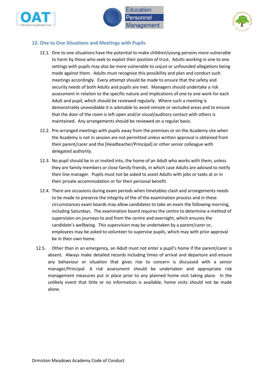





## **12. One to One Situations and Meetings with Pupils**

- 12.1. One to one situations have the potential to make children/young persons more vulnerable to harm by those who seek to exploit their position of trust. Adults working in one to one settings with pupils may also be more vulnerable to unjust or unfounded allegations being made against them. Adults must recognise this possibility and plan and conduct such meetings accordingly. Every attempt should be made to ensure that the safety and security needs of both Adults and pupils are met. Managers should undertake a risk assessment in relation to the specific nature and implications of one to one work for each Adult and pupil, which should be reviewed regularly. Where such a meeting is demonstrably unavoidable it is advisable to avoid remote or secluded areas and to ensure that the door of the room is left open and/or visual/auditory contact with others is maintained. Any arrangements should be reviewed on a regular basis.
- 12.2. Pre-arranged meetings with pupils away from the premises or on the Academy site when the Academy is not in session are not permitted unless written approval is obtained from their parent/carer and the [Headteacher/Principal] or other senior colleague with delegated authority.
- 12.3. No pupil should be in or invited into, the home of an Adult who works with them, unless they are family members or close family friends, in which case Adults are advised to notify their line manager. Pupils must not be asked to assist Adults with jobs or tasks at or in their private accommodation or for their personal benefit.
- 12.4. There are occasions during exam periods when timetables clash and arrangements needs to be made to preserve the integrity of the of the examination process and in these circumstances exam boards may allow candidates to take an exam the following morning, including Saturdays. The examination board requires the centre to determine a method of supervision on journeys to and from the centre and overnight, which ensures the candidate's wellbeing. This supervision may be undertaken by a parent/carer or, employees may be asked to volunteer to supervise pupils, which may with prior approval be in their own home.
- 12.5. Other than in an emergency, an Adult must not enter a pupil's home if the parent/carer is absent. Always make detailed records including times of arrival and departure and ensure any behaviour or situation that gives rise to concern is discussed with a senior manager/Principal. A risk assessment should be undertaken and appropriate risk management measures put in place prior to any planned home visit taking place. In the unlikely event that little or no information is available, home visits should not be made alone.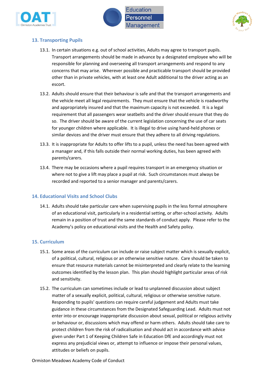



# **13. Transporting Pupils**

- 13.1. In certain situations e.g. out of school activities, Adults may agree to transport pupils. Transport arrangements should be made in advance by a designated employee who will be responsible for planning and overseeing all transport arrangements and respond to any concerns that may arise. Wherever possible and practicable transport should be provided other than in private vehicles, with at least one Adult additional to the driver acting as an escort.
- 13.2. Adults should ensure that their behaviour is safe and that the transport arrangements and the vehicle meet all legal requirements. They must ensure that the vehicle is roadworthy and appropriately insured and that the maximum capacity is not exceeded. It is a legal requirement that all passengers wear seatbelts and the driver should ensure that they do so. The driver should be aware of the current legislation concerning the use of car seats for younger children where applicable. It is illegal to drive using hand-held phones or similar devices and the driver must ensure that they adhere to all driving regulations.
- 13.3. It is inappropriate for Adults to offer lifts to a pupil, unless the need has been agreed with a manager and, if this falls outside their normal working duties, has been agreed with parents/carers.
- 13.4. There may be occasions where a pupil requires transport in an emergency situation or where not to give a lift may place a pupil at risk. Such circumstances must always be recorded and reported to a senior manager and parents/carers.

## **14. Educational Visits and School Clubs**

14.1. Adults should take particular care when supervising pupils in the less formal atmosphere of an educational visit, particularly in a residential setting, or after-school activity. Adults remain in a position of trust and the same standards of conduct apply. Please refer to the Academy's policy on educational visits and the Health and Safety policy.

## **15. Curriculum**

- 15.1. Some areas of the curriculum can include or raise subject matter which is sexually explicit, of a political, cultural, religious or an otherwise sensitive nature. Care should be taken to ensure that resource materials cannot be misinterpreted and clearly relate to the learning outcomes identified by the lesson plan. This plan should highlight particular areas of risk and sensitivity.
- 15.2. The curriculum can sometimes include or lead to unplanned discussion about subject matter of a sexually explicit, political, cultural, religious or otherwise sensitive nature. Responding to pupils' questions can require careful judgement and Adults must take guidance in these circumstances from the Designated Safeguarding Lead. Adults must not enter into or encourage inappropriate discussion about sexual, political or religious activity or behaviour or, discussions which may offend or harm others. Adults should take care to protect children from the risk of radicalisation and should act in accordance with advice given under Part 1 of Keeping Children Safe in Education DfE and accordingly must not express any prejudicial views or, attempt to influence or impose their personal values, attitudes or beliefs on pupils.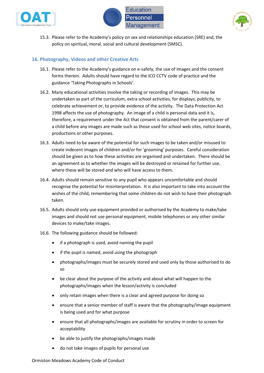





15.3. Please refer to the Academy's policy on sex and relationships education (SRE) and, the policy on spiritual, moral, social and cultural development (SMSC).

## **16. Photography, Videos and other Creative Arts**

- 16.1. Please refer to the Academy's guidance on e-safety, the use of images and the consent forms therein. Adults should have regard to the ICO CCTV code of practice and the guidance 'Taking Photographs in Schools'.
- 16.2. Many educational activities involve the taking or recording of images. This may be undertaken as part of the curriculum, extra school activities, for displays, publicity, to celebrate achievement or, to provide evidence of the activity. The Data Protection Act 1998 affects the use of photography. An image of a child is personal data and it is, therefore, a requirement under the Act that consent is obtained from the parent/carer of a child before any images are made such as those used for school web sites, notice boards, productions or other purposes.
- 16.3. Adults need to be aware of the potential for such images to be taken and/or misused to create indecent images of children and/or for 'grooming' purposes. Careful consideration should be given as to how these activities are organised and undertaken. There should be an agreement as to whether the images will be destroyed or retained for further use, where these will be stored and who will have access to them.
- 16.4. Adults should remain sensitive to any pupil who appears uncomfortable and should recognise the potential for misinterpretation. It is also important to take into account the wishes of the child, remembering that some children do not wish to have their photograph taken.
- 16.5. Adults should only use equipment provided or authorised by the Academy to make/take images and should not use personal equipment, mobile telephones or any other similar devices to make/take images.
- 16.6. The following guidance should be followed:
	- if a photograph is used, avoid naming the pupil
	- if the pupil is named, avoid using the photograph
	- photographs/images must be securely stored and used only by those authorised to do so
	- be clear about the purpose of the activity and about what will happen to the photographs/images when the lesson/activity is concluded
	- only retain images when there is a clear and agreed purpose for doing so
	- ensure that a senior member of staff is aware that the photography/image equipment is being used and for what purpose
	- ensure that all photographs/images are available for scrutiny in order to screen for acceptability
	- be able to justify the photographs/images made
	- do not take images of pupils for personal use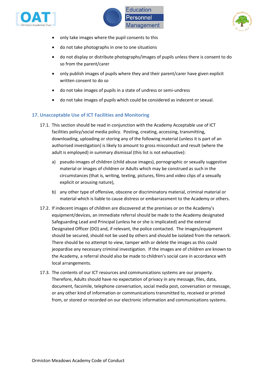





- only take images where the pupil consents to this
- do not take photographs in one to one situations
- do not display or distribute photographs/images of pupils unless there is consent to do so from the parent/carer
- only publish images of pupils where they and their parent/carer have given explicit written consent to do so
- do not take images of pupils in a state of undress or semi-undress
- do not take images of pupils which could be considered as indecent or sexual.

## **17. Unacceptable Use of ICT Facilities and Monitoring**

- 17.1. This section should be read in conjunction with the Academy Acceptable use of ICT facilities policy/social media policy. Posting, creating, accessing, transmitting, downloading, uploading or storing any of the following material (unless it is part of an authorised investigation) is likely to amount to gross misconduct and result (where the adult is employed) in summary dismissal (this list is not exhaustive):
	- a) pseudo-images of children (child abuse images), pornographic or sexually suggestive material or images of children or Adults which may be construed as such in the circumstances (that is, writing, texting, pictures, films and video clips of a sexually explicit or arousing nature),
	- b) any other type of offensive, obscene or discriminatory material, criminal material or material which is liable to cause distress or embarrassment to the Academy or others.
- 17.2. If indecent images of children are discovered at the premises or on the Academy's equipment/devices, an immediate referral should be made to the Academy designated Safeguarding Lead and Principal (unless he or she is implicated) and the external Designated Officer (DO) and, if relevant, the police contacted. The images/equipment should be secured, should not be used by others and should be isolated from the network. There should be no attempt to view, tamper with or delete the images as this could jeopardise any necessary criminal investigation. If the images are of children are known to the Academy, a referral should also be made to children's social care in accordance with local arrangements.
- 17.3. The contents of our ICT resources and communications systems are our property. Therefore, Adults should have no expectation of privacy in any message, files, data, document, facsimile, telephone conversation, social media post, conversation or message, or any other kind of information or communications transmitted to, received or printed from, or stored or recorded on our electronic information and communications systems.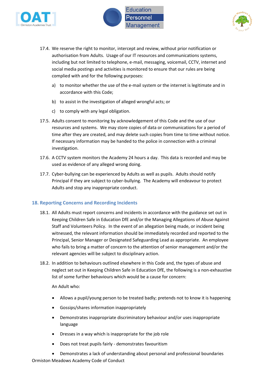





- 17.4. We reserve the right to monitor, intercept and review, without prior notification or authorisation from Adults. Usage of our IT resources and communications systems, including but not limited to telephone, e-mail, messaging, voicemail, CCTV, internet and social media postings and activities is monitored to ensure that our rules are being complied with and for the following purposes:
	- a) to monitor whether the use of the e-mail system or the internet is legitimate and in accordance with this Code;
	- b) to assist in the investigation of alleged wrongful acts; or
	- c) to comply with any legal obligation.
- 17.5. Adults consent to monitoring by acknowledgement of this Code and the use of our resources and systems. We may store copies of data or communications for a period of time after they are created, and may delete such copies from time to time without notice. If necessary information may be handed to the police in connection with a criminal investigation.
- 17.6. A CCTV system monitors the Academy 24 hours a day. This data is recorded and may be used as evidence of any alleged wrong doing.
- 17.7. Cyber-bullying can be experienced by Adults as well as pupils. Adults should notify Principal if they are subject to cyber-bullying. The Academy will endeavour to protect Adults and stop any inappropriate conduct.

#### **18. Reporting Concerns and Recording Incidents**

- 18.1. All Adults must report concerns and incidents in accordance with the guidance set out in Keeping Children Safe in Education DfE and/or the Managing Allegations of Abuse Against Staff and Volunteers Policy. In the event of an allegation being made, or incident being witnessed, the relevant information should be immediately recorded and reported to the Principal, Senior Manager or Designated Safeguarding Lead as appropriate. An employee who fails to bring a matter of concern to the attention of senior management and/or the relevant agencies will be subject to disciplinary action.
- 18.2. In addition to behaviours outlined elsewhere in this Code and, the types of abuse and neglect set out in Keeping Children Safe in Education DfE, the following is a non-exhaustive list of some further behaviours which would be a cause for concern:

#### An Adult who:

- Allows a pupil/young person to be treated badly; pretends not to know it is happening
- Gossips/shares information inappropriately
- Demonstrates inappropriate discriminatory behaviour and/or uses inappropriate language
- Dresses in a way which is inappropriate for the job role
- Does not treat pupils fairly demonstrates favouritism
- Demonstrates a lack of understanding about personal and professional boundaries

Ormiston Meadows Academy Code of Conduct